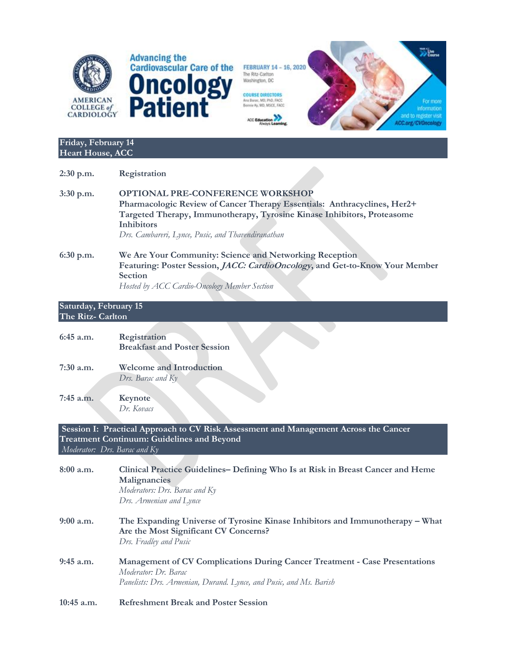

FEBRUARY 14 - 16, 2020 The Ritz-Carlton Washington, DC



### **Friday, February 14 Heart House, ACC**

| $2:30$ p.m. | Registration                                                                                                                                                                                              |
|-------------|-----------------------------------------------------------------------------------------------------------------------------------------------------------------------------------------------------------|
| $3:30$ p.m. | <b>OPTIONAL PRE-CONFERENCE WORKSHOP</b><br>Pharmacologic Review of Cancer Therapy Essentials: Anthracyclines, Her2+                                                                                       |
|             | Targeted Therapy, Immunotherapy, Tyrosine Kinase Inhibitors, Proteasome<br><b>Inhibitors</b><br>Drs. Cambareri, Lynce, Pusic, and Thavendiranathan                                                        |
| $6:30$ p.m. | We Are Your Community: Science and Networking Reception<br>Featuring: Poster Session, JACC: CardioOncology, and Get-to-Know Your Member<br><b>Section</b><br>Hosted by ACC Cardio-Oncology Member Section |

### **Saturday, February 15 The Ritz- Carlton**

| $6:45$ a.m. | Registration<br><b>Breakfast and Poster Session</b>  |
|-------------|------------------------------------------------------|
| $7:30$ a.m. | <b>Welcome and Introduction</b><br>Drs. Barac and Ky |
| 7:45 a.m.   | Keynote                                              |

*Dr. Kovacs*

**Session I: Practical Approach to CV Risk Assessment and Management Across the Cancer Treatment Continuum: Guidelines and Beyond** *Moderator: Drs. Barac and Ky*

| 8:00 a.m.    | Clinical Practice Guidelines– Defining Who Is at Risk in Breast Cancer and Heme<br>Malignancies<br>Moderators: Drs. Barac and Ky<br>Drs. Armenian and Lynce                      |
|--------------|----------------------------------------------------------------------------------------------------------------------------------------------------------------------------------|
| $9:00$ a.m.  | The Expanding Universe of Tyrosine Kinase Inhibitors and Immunotherapy – What<br>Are the Most Significant CV Concerns?<br>Drs. Fradley and Pusic                                 |
| $9:45$ a.m.  | <b>Management of CV Complications During Cancer Treatment - Case Presentations</b><br>Moderator: Dr. Barac<br>Panelists: Drs. Armenian, Durand. Lynce, and Pusic, and Ms. Barish |
| $10:45$ a.m. | <b>Refreshment Break and Poster Session</b>                                                                                                                                      |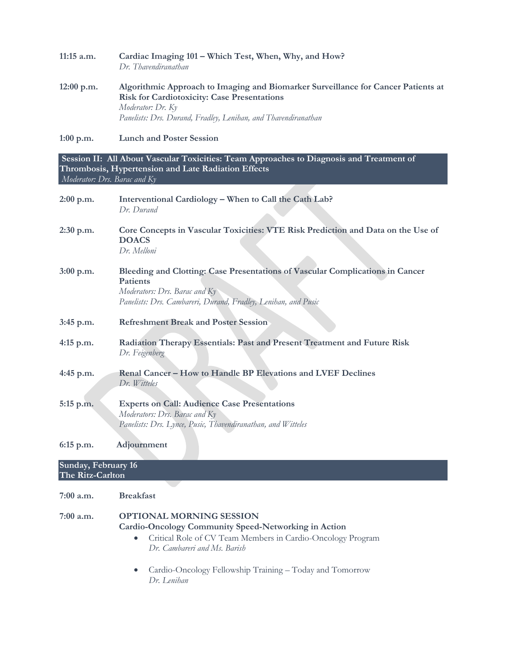| $11:15$ a.m. | Cardiac Imaging 101 – Which Test, When, Why, and How?<br>Dr. Thavendiranathan                                                                                                                                                  |
|--------------|--------------------------------------------------------------------------------------------------------------------------------------------------------------------------------------------------------------------------------|
| $12:00$ p.m. | Algorithmic Approach to Imaging and Biomarker Surveillance for Cancer Patients at<br><b>Risk for Cardiotoxicity: Case Presentations</b><br>Moderator: Dr. Ky<br>Panelists: Drs. Durand, Fradley, Lenihan, and Thavendiranathan |

**1:00 p.m. Lunch and Poster Session**

**Session II: All About Vascular Toxicities: Team Approaches to Diagnosis and Treatment of Thrombosis, Hypertension and Late Radiation Effects** *Moderator: Drs. Barac and Ky*

| $2:00$ p.m.         | Interventional Cardiology - When to Call the Cath Lab?<br>Dr. Durand                                                                                                                         |
|---------------------|----------------------------------------------------------------------------------------------------------------------------------------------------------------------------------------------|
| $2:30$ p.m.         | Core Concepts in Vascular Toxicities: VTE Risk Prediction and Data on the Use of<br><b>DOACS</b><br>Dr. Melloni                                                                              |
| 3:00 p.m.           | Bleeding and Clotting: Case Presentations of Vascular Complications in Cancer<br>Patients<br>Moderators: Drs. Barac and Ky<br>Panelists: Drs. Cambareri, Durand, Fradley, Lenihan, and Pusic |
| $3:45$ p.m.         | <b>Refreshment Break and Poster Session</b>                                                                                                                                                  |
| $4:15$ p.m.         | Radiation Therapy Essentials: Past and Present Treatment and Future Risk<br>Dr. Feigenberg                                                                                                   |
| 4:45 p.m.           | Renal Cancer - How to Handle BP Elevations and LVEF Declines<br>Dr. Witteles                                                                                                                 |
| 5:15 p.m.           | <b>Experts on Call: Audience Case Presentations</b><br>Moderators: Drs. Barac and Ky<br>Panelists: Drs. Lynce, Pusic, Thavendiranathan, and Witteles                                         |
| $6:15$ p.m.         | Adjournment                                                                                                                                                                                  |
| Sunday, February 16 |                                                                                                                                                                                              |

# **The Ritz-Carlton**

**7:00 a.m. Breakfast**

## **7:00 a.m. OPTIONAL MORNING SESSION Cardio-Oncology Community Speed-Networking in Action**

- Critical Role of CV Team Members in Cardio-Oncology Program *Dr. Cambareri and Ms. Barish*
- Cardio-Oncology Fellowship Training Today and Tomorrow *Dr. Lenihan*